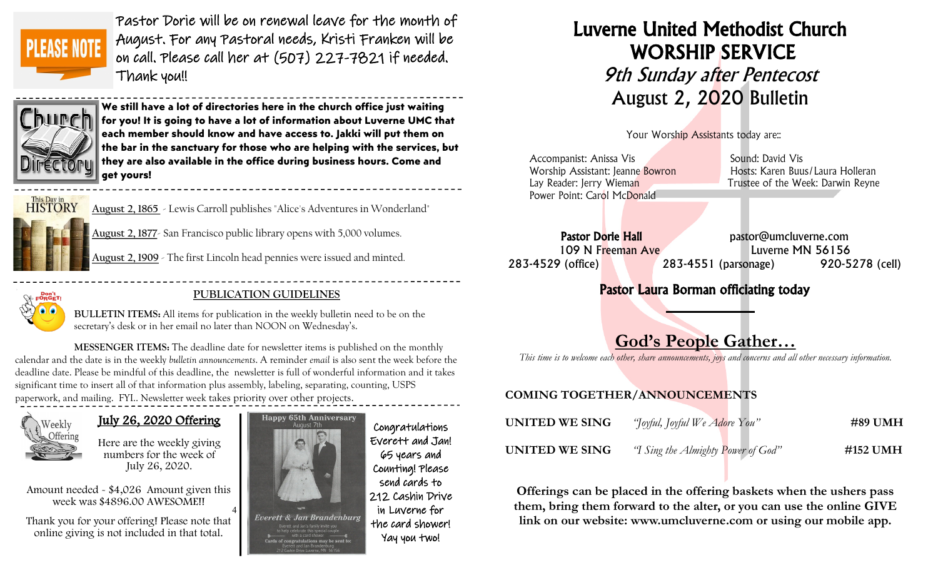

Pastor Dorie will be on renewal leave for the month of August. For any Pastoral needs, Kristi Franken will be on call. Please call her at (507) 227-7821 if needed. Thank you!!

 $\overline{a}$ 



**We still have a lot of directories here in the church office just waiting for you! It is going to have a lot of information about Luverne UMC that each member should know and have access to. Jakki will put them on the bar in the sanctuary for those who are helping with the services, but they are also available in the office during business hours. Come and get yours!**



**August 2, 1865** - [Lewis Carroll](https://www.onthisday.com/people/lewis-carroll) publishes "Alice's Adventures in Wonderland"

**August 2, 1877**- San Francisco public library opens with 5,000 volumes.

**August 2, 1909** - The first Lincoln head pennies were issued and minted.



### **PUBLICATION GUIDELINES**

**BULLETIN ITEMS:** All items for publication in the weekly bulletin need to be on the secretary's desk or in her email no later than NOON on Wednesday's.

**MESSENGER ITEMS:** The deadline date for newsletter items is published on the monthly calendar and the date is in the weekly *bulletin announcements*. A reminder *email* is also sent the week before the deadline date. Please be mindful of this deadline, the newsletter is full of wonderful information and it takes significant time to insert all of that information plus assembly, labeling, separating, counting, USPS paperwork, and mailing. FYI.. Newsletter week takes priority over other projects.



# July 26, 2020 Offering

Here are the weekly giving numbers for the week of July 26, 2020.

4 Amount needed - \$4,026 Amount given this week was \$4896.00 AWESOME!!

Thank you for your offering! Please note that online giving is not included in that total.



Congratulations Everett and Jan! 65 years and Counting! Please send cards to 212 Cashin Drive in Luverne for the card shower! Yay you two!

# Luverne United Methodist Church WORSHIP SERVICE 9th Sunday after Pentecost August 2, 2020 Bulletin

Your Worship Assistants today are::

| Accompanist: Anissa Vis          | Sound: David Vis                  |
|----------------------------------|-----------------------------------|
| Worship Assistant: Jeanne Bowron | Hosts: Karen Buus/Laura Holleran  |
| Lay Reader: Jerry Wieman         | Trustee of the Week: Darwin Reyne |
| Power Point: Carol McDonald      |                                   |
|                                  |                                   |

Pastor Dorie Hall bastor@umcluverne.com 109 N Freeman Ave Luverne MN 56156 283-4529 (office) 283-4551 (parsonage) 920-5278 (cell)

# Pastor Laura Borman officiating today

# God's People Gather…

*This time is to welcome each other, share announcements, joys and concerns and all other necessary information.*

### COMING TOGETHER/ANNOUNCEMENTS

| UNITED WE SING | "Joyful, Joyful We Adore You"      | #89 UMH  |
|----------------|------------------------------------|----------|
| UNITED WE SING | "I Sing the Almighty Power of God" | #152 UMH |

Offerings can be placed in the offering baskets when the ushers pass them, bring them forward to the alter, or you can use the online GIVE link on our website: www.umcluverne.com or using our mobile app.